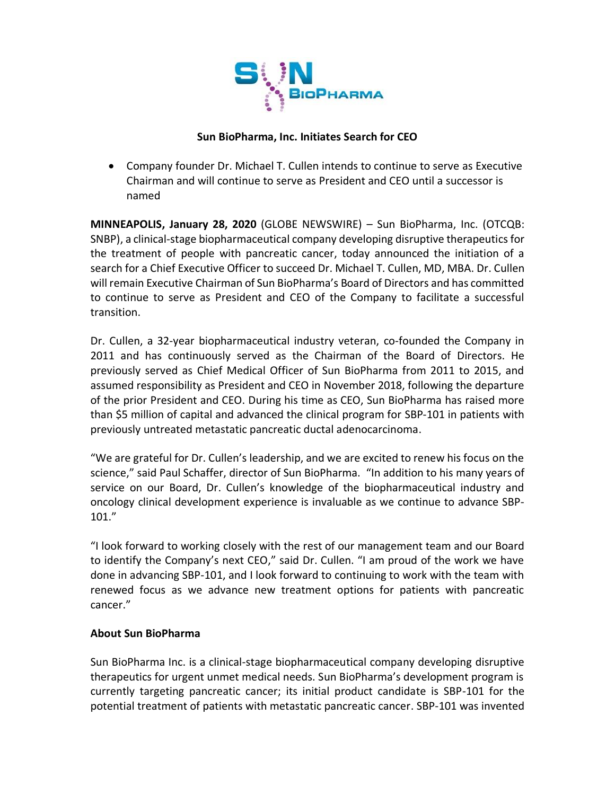

## **Sun BioPharma, Inc. Initiates Search for CEO**

• Company founder Dr. Michael T. Cullen intends to continue to serve as Executive Chairman and will continue to serve as President and CEO until a successor is named

**MINNEAPOLIS, January 28, 2020** (GLOBE NEWSWIRE) – Sun BioPharma, Inc. (OTCQB: SNBP), a clinical-stage biopharmaceutical company developing disruptive therapeutics for the treatment of people with pancreatic cancer, today announced the initiation of a search for a Chief Executive Officer to succeed Dr. Michael T. Cullen, MD, MBA. Dr. Cullen will remain Executive Chairman of Sun BioPharma's Board of Directors and has committed to continue to serve as President and CEO of the Company to facilitate a successful transition.

Dr. Cullen, a 32-year biopharmaceutical industry veteran, co-founded the Company in 2011 and has continuously served as the Chairman of the Board of Directors. He previously served as Chief Medical Officer of Sun BioPharma from 2011 to 2015, and assumed responsibility as President and CEO in November 2018, following the departure of the prior President and CEO. During his time as CEO, Sun BioPharma has raised more than \$5 million of capital and advanced the clinical program for SBP-101 in patients with previously untreated metastatic pancreatic ductal adenocarcinoma.

"We are grateful for Dr. Cullen's leadership, and we are excited to renew his focus on the science," said Paul Schaffer, director of Sun BioPharma. "In addition to his many years of service on our Board, Dr. Cullen's knowledge of the biopharmaceutical industry and oncology clinical development experience is invaluable as we continue to advance SBP-101."

"I look forward to working closely with the rest of our management team and our Board to identify the Company's next CEO," said Dr. Cullen. "I am proud of the work we have done in advancing SBP-101, and I look forward to continuing to work with the team with renewed focus as we advance new treatment options for patients with pancreatic cancer."

## **About Sun BioPharma**

Sun BioPharma Inc. is a clinical-stage biopharmaceutical company developing disruptive therapeutics for urgent unmet medical needs. Sun BioPharma's development program is currently targeting pancreatic cancer; its initial product candidate is SBP-101 for the potential treatment of patients with metastatic pancreatic cancer. SBP-101 was invented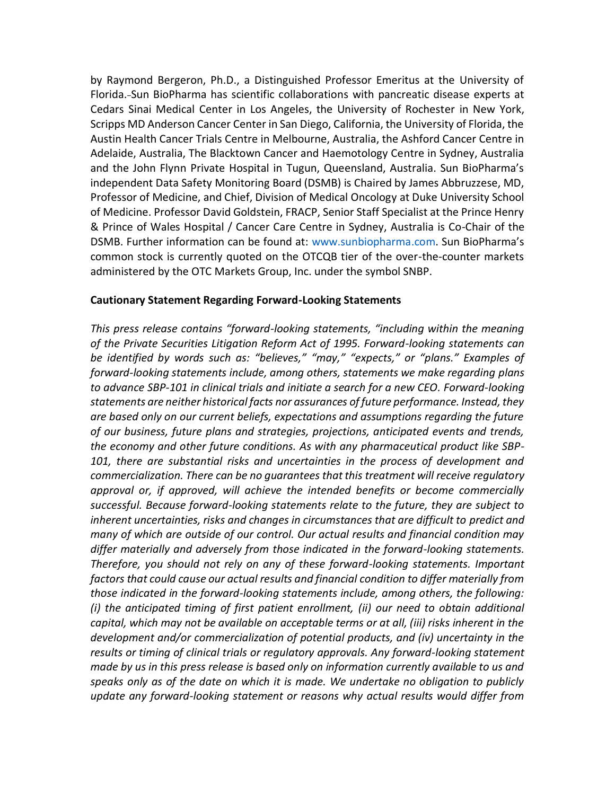by Raymond Bergeron, Ph.D., a Distinguished Professor Emeritus at the University of Florida. Sun BioPharma has scientific collaborations with pancreatic disease experts at Cedars Sinai Medical Center in Los Angeles, the University of Rochester in New York, Scripps MD Anderson Cancer Center in San Diego, California, the University of Florida, the Austin Health Cancer Trials Centre in Melbourne, Australia, the Ashford Cancer Centre in Adelaide, Australia, The Blacktown Cancer and Haemotology Centre in Sydney, Australia and the John Flynn Private Hospital in Tugun, Queensland, Australia. Sun BioPharma's independent Data Safety Monitoring Board (DSMB) is Chaired by James Abbruzzese, MD, Professor of Medicine, and Chief, Division of Medical Oncology at Duke University School of Medicine. Professor David Goldstein, FRACP, Senior Staff Specialist at the Prince Henry & Prince of Wales Hospital / Cancer Care Centre in Sydney, Australia is Co-Chair of the DSMB. Further information can be found at: www.sunbiopharma.com. Sun BioPharma's common stock is currently quoted on the OTCQB tier of the over-the-counter markets administered by the OTC Markets Group, Inc. under the symbol SNBP.

#### **Cautionary Statement Regarding Forward-Looking Statements**

*This press release contains "forward-looking statements, "including within the meaning of the Private Securities Litigation Reform Act of 1995. Forward-looking statements can be identified by words such as: "believes," "may," "expects," or "plans." Examples of forward-looking statements include, among others, statements we make regarding plans to advance SBP-101 in clinical trials and initiate a search for a new CEO. Forward-looking statements are neither historical facts nor assurances of future performance. Instead, they are based only on our current beliefs, expectations and assumptions regarding the future of our business, future plans and strategies, projections, anticipated events and trends, the economy and other future conditions. As with any pharmaceutical product like SBP-*101, there are substantial risks and uncertainties in the process of development and *commercialization. There can be no guarantees that this treatment will receive regulatory approval or, if approved, will achieve the intended benefits or become commercially successful. Because forward-looking statements relate to the future, they are subject to inherent uncertainties, risks and changes in circumstances that are difficult to predict and many of which are outside of our control. Our actual results and financial condition may differ materially and adversely from those indicated in the forward-looking statements. Therefore, you should not rely on any of these forward-looking statements. Important factors that could cause our actual results and financial condition to differ materially from those indicated in the forward-looking statements include, among others, the following: (i) the anticipated timing of first patient enrollment, (ii) our need to obtain additional capital, which may not be available on acceptable terms or at all, (iii) risks inherent in the development and/or commercialization of potential products, and (iv) uncertainty in the results or timing of clinical trials or regulatory approvals. Any forward-looking statement made by us in this press release is based only on information currently available to us and speaks only as of the date on which it is made. We undertake no obligation to publicly update any forward-looking statement or reasons why actual results would differ from*